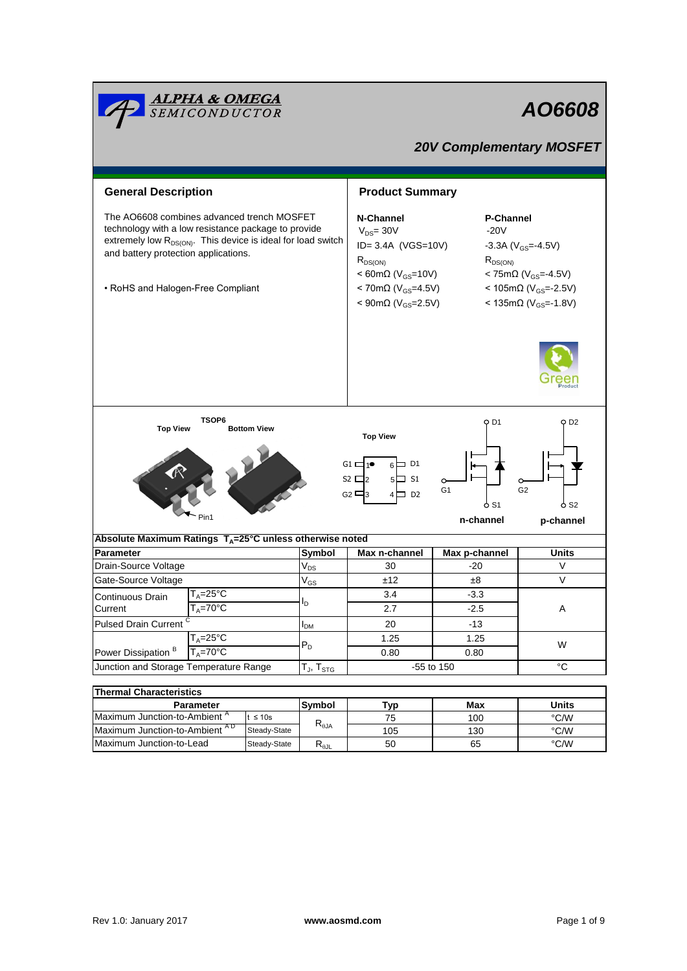| <u><b>ALPHA &amp; OMEGA</b><br/>SEMICONDUCTOR</u>                                                                                                                                                                                                   |                             |                               |                                                                                                                                                                                              |                        | AO6608                                                                                                                               |  |  |  |  |
|-----------------------------------------------------------------------------------------------------------------------------------------------------------------------------------------------------------------------------------------------------|-----------------------------|-------------------------------|----------------------------------------------------------------------------------------------------------------------------------------------------------------------------------------------|------------------------|--------------------------------------------------------------------------------------------------------------------------------------|--|--|--|--|
| <b>20V Complementary MOSFET</b>                                                                                                                                                                                                                     |                             |                               |                                                                                                                                                                                              |                        |                                                                                                                                      |  |  |  |  |
|                                                                                                                                                                                                                                                     |                             |                               |                                                                                                                                                                                              |                        |                                                                                                                                      |  |  |  |  |
| <b>General Description</b>                                                                                                                                                                                                                          |                             |                               | <b>Product Summary</b>                                                                                                                                                                       |                        |                                                                                                                                      |  |  |  |  |
| The AO6608 combines advanced trench MOSFET<br>technology with a low resistance package to provide<br>extremely low $R_{DS(ON)}$ . This device is ideal for load switch<br>and battery protection applications.<br>• RoHS and Halogen-Free Compliant |                             |                               | N-Channel<br>$V_{DS} = 30V$<br>ID= 3.4A (VGS=10V)<br>$R_{DS(ON)}$<br>$< 60 \text{m}\Omega$ (V <sub>GS</sub> =10V)<br>< 70m $\Omega$ (V <sub>GS</sub> =4.5V)<br><90mΩ (V <sub>GS</sub> =2.5V) | $-20V$<br>$R_{DS(ON)}$ | <b>P-Channel</b><br>$-3.3A (V_{GS} = 4.5V)$<br>< 75mΩ ( $V_{GS}$ = 4.5V)<br>< 105mΩ ( $V_{GS}$ =-2.5V)<br>< 135mΩ ( $V_{GS}$ = 1.8V) |  |  |  |  |
| <b>Top View</b>                                                                                                                                                                                                                                     | TSOP6<br><b>Bottom View</b> |                               | <b>Top View</b>                                                                                                                                                                              | O D1                   | O D2                                                                                                                                 |  |  |  |  |
| 6D1<br>$G1 \square 1^{\bullet}$<br>$52 \square$<br>$5\Box$ S1<br>◡<br>G <sub>2</sub><br>G <sub>1</sub><br>G <sub>2</sub> $\Box$ 3<br>4□ D2<br>o S1<br>o S2<br>Pin1                                                                                  |                             |                               |                                                                                                                                                                                              |                        |                                                                                                                                      |  |  |  |  |
|                                                                                                                                                                                                                                                     |                             |                               |                                                                                                                                                                                              | n-channel              | p-channel                                                                                                                            |  |  |  |  |
| Absolute Maximum Ratings $T_A = 25^\circ \text{C}$ unless otherwise noted<br><b>Parameter</b>                                                                                                                                                       |                             | Symbol                        | Max n-channel                                                                                                                                                                                | Max p-channel          | <b>Units</b>                                                                                                                         |  |  |  |  |
| Drain-Source Voltage                                                                                                                                                                                                                                |                             | $\mathsf{V}_{\mathsf{DS}}$    | 30                                                                                                                                                                                           | $-20$                  | V                                                                                                                                    |  |  |  |  |
| Gate-Source Voltage                                                                                                                                                                                                                                 |                             | $\mathsf{V}_{\mathsf{GS}}$    | ±12                                                                                                                                                                                          | $\pm 8$                | V                                                                                                                                    |  |  |  |  |
| $T_A = 25^{\circ}C$<br>Continuous Drain                                                                                                                                                                                                             |                             |                               | 3.4                                                                                                                                                                                          | $-3.3$                 |                                                                                                                                      |  |  |  |  |
| Current                                                                                                                                                                                                                                             | $T_A = 70^\circ C$          | D                             | 2.7                                                                                                                                                                                          | $-2.5$                 | Α                                                                                                                                    |  |  |  |  |
| <b>Pulsed Drain Current</b>                                                                                                                                                                                                                         |                             |                               | 20                                                                                                                                                                                           | -13                    |                                                                                                                                      |  |  |  |  |
|                                                                                                                                                                                                                                                     | $T_A = 25$ °C               | I <sub>DM</sub><br>$P_D$      | 1.25                                                                                                                                                                                         | 1.25                   |                                                                                                                                      |  |  |  |  |
| Power Dissipation <sup>B</sup>                                                                                                                                                                                                                      | $T_A = 70$ °C               |                               | 0.80                                                                                                                                                                                         | 0.80                   | W                                                                                                                                    |  |  |  |  |
| Junction and Storage Temperature Range                                                                                                                                                                                                              |                             | T $_{\sf J}$ , T $_{\sf STG}$ | -55 to 150                                                                                                                                                                                   |                        | $^{\circ}C$                                                                                                                          |  |  |  |  |
|                                                                                                                                                                                                                                                     |                             |                               |                                                                                                                                                                                              |                        |                                                                                                                                      |  |  |  |  |
| <b>Thermal Characteristics</b>                                                                                                                                                                                                                      | Symbol                      | <b>Typ</b>                    | Max                                                                                                                                                                                          | <b>Units</b>           |                                                                                                                                      |  |  |  |  |
| Parameter<br>Maximum Junction-to-Ambient <sup>A</sup><br>$t \leq 10s$                                                                                                                                                                               |                             |                               | 75                                                                                                                                                                                           | 100                    | °C/W                                                                                                                                 |  |  |  |  |
| Maximum Junction-to-Ambient AD<br>Steady-State                                                                                                                                                                                                      |                             | $R_{\theta JA}$               | 105                                                                                                                                                                                          | 130                    | °C/W                                                                                                                                 |  |  |  |  |

Maximum Junction-to-Lead

50

Steady-State  $R_{\theta$ JL

°C/W

65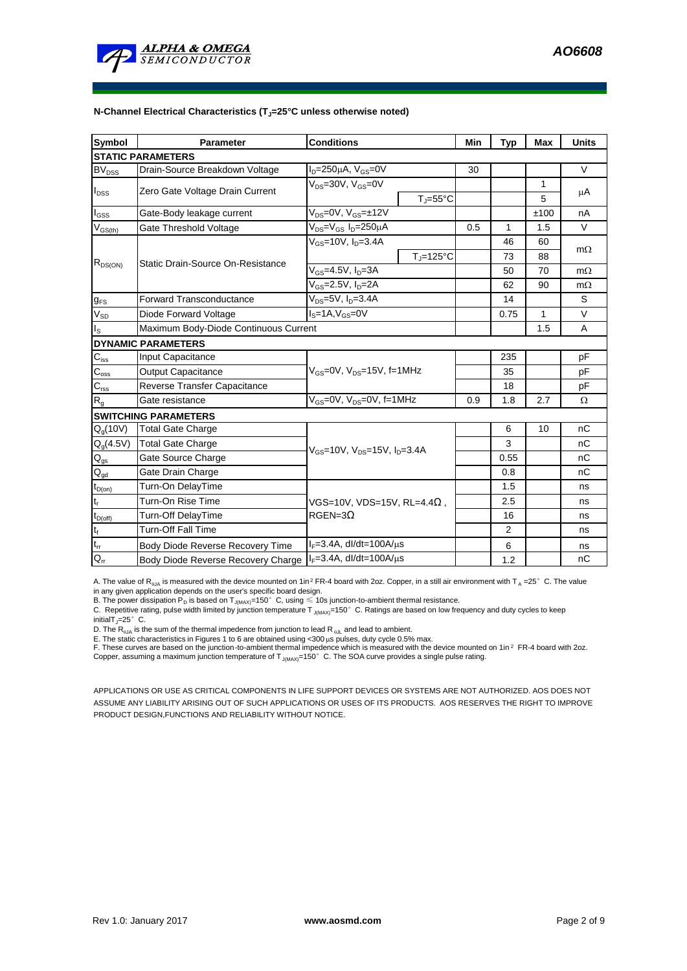

| <b>Symbol</b>              | <b>Parameter</b>                      | <b>Conditions</b>                                                     |                    | Min | <b>Typ</b> | <b>Max</b> | <b>Units</b> |  |
|----------------------------|---------------------------------------|-----------------------------------------------------------------------|--------------------|-----|------------|------------|--------------|--|
| <b>STATIC PARAMETERS</b>   |                                       |                                                                       |                    |     |            |            |              |  |
| <b>BV<sub>DSS</sub></b>    | Drain-Source Breakdown Voltage        | $I_D = 250 \mu A$ , $V_{GS} = 0V$                                     |                    | 30  |            |            | V            |  |
| $I_{DSS}$                  | Zero Gate Voltage Drain Current       | $V_{DS}$ =30V, $V_{GS}$ =0V<br>$T_{\text{J}} = 55^{\circ}C$           |                    |     |            | 1          | μA           |  |
|                            |                                       |                                                                       |                    |     |            | 5          |              |  |
| $I_{GSS}$                  | Gate-Body leakage current             | $V_{DS} = 0V$ , $V_{GS} = \pm 12V$                                    |                    |     |            | ±100       | nA           |  |
| $\rm V_{\rm GS(th)}$       | Gate Threshold Voltage                | V <sub>DS</sub> =V <sub>GS</sub> I <sub>D</sub> =250µA                |                    | 0.5 | 1          | 1.5        | V            |  |
| $R_{DS(ON)}$               | Static Drain-Source On-Resistance     | $V_{GS}$ =10V, $I_D$ =3.4A                                            |                    |     | 46         | 60         | $m\Omega$    |  |
|                            |                                       |                                                                       | $T_{\rm J}$ =125°C |     | 73         | 88         |              |  |
|                            |                                       | $V_{GS}$ =4.5V, $I_D$ =3A                                             |                    |     | 50         | 70         | $m\Omega$    |  |
|                            |                                       | $V_{GS} = 2.5V, I_D = 2A$                                             |                    |     | 62         | 90         | $m\Omega$    |  |
| $g_{FS}$                   | <b>Forward Transconductance</b>       | $V_{DS}$ =5V, $I_D$ =3.4A                                             |                    |     | 14         |            | S            |  |
| $V_{SD}$                   | Diode Forward Voltage                 | $IS=1A, VGS=0V$                                                       |                    |     | 0.75       | 1          | $\vee$       |  |
| $I_{\rm S}$                | Maximum Body-Diode Continuous Current |                                                                       |                    |     |            | 1.5        | A            |  |
|                            | <b>DYNAMIC PARAMETERS</b>             |                                                                       |                    |     |            |            |              |  |
| $C_{\text{iss}}$           | Input Capacitance                     |                                                                       |                    |     | 235        |            | pF           |  |
| $C_{\rm oss}$              | <b>Output Capacitance</b>             | $V_{GS}$ =0V, $V_{DS}$ =15V, f=1MHz                                   |                    |     | 35         |            | pF           |  |
| $C_{\text{rss}}$           | Reverse Transfer Capacitance          |                                                                       |                    |     | 18         |            | pF           |  |
| $R_{q}$                    | Gate resistance                       | $V_{GS}$ =0V, $V_{DS}$ =0V, f=1MHz                                    |                    | 0.9 | 1.8        | 2.7        | $\Omega$     |  |
|                            | <b>SWITCHING PARAMETERS</b>           |                                                                       |                    |     |            |            |              |  |
| Q <sub>a</sub> (10V)       | <b>Total Gate Charge</b>              | $V_{\text{cs}} = 10V$ , $V_{\text{DS}} = 15V$ , $I_{\text{D}} = 3.4A$ |                    |     | 6          | 10         | nC           |  |
| $Q_{q}(4.5V)$              | <b>Total Gate Charge</b>              |                                                                       |                    |     | 3          |            | nC           |  |
| $\mathsf{Q}_{\mathsf{gs}}$ | Gate Source Charge                    |                                                                       |                    |     | 0.55       |            | nC           |  |
| $Q_{gd}$                   | Gate Drain Charge                     |                                                                       |                    |     | 0.8        |            | nC           |  |
| $t_{D(on)}$                | Turn-On DelayTime                     | VGS=10V, VDS=15V, RL=4.4 $\Omega$ ,<br>$RGBN=3Ω$                      |                    |     | 1.5        |            | ns           |  |
| t,                         | Turn-On Rise Time                     |                                                                       |                    |     | 2.5        |            | ns           |  |
| $t_{D(\text{off})}$        | Turn-Off DelayTime                    |                                                                       |                    |     | 16         |            | ns           |  |
| $\mathsf{t}_{\mathsf{f}}$  | Turn-Off Fall Time                    |                                                                       |                    |     | 2          |            | ns           |  |
| $t_{rr}$                   | Body Diode Reverse Recovery Time      | $I_F = 3.4A$ , dl/dt=100A/ $\mu$ s                                    |                    |     | 6          |            | ns           |  |
| $Q_{rr}$                   | Body Diode Reverse Recovery Charge    | $I_F = 3.4A$ , dl/dt=100A/ $\mu$ s                                    |                    |     | 1.2        |            | nC           |  |

A. The value of R<sub>0JA</sub> is measured with the device mounted on 1in<sup>2</sup> FR-4 board with 2oz. Copper, in a still air environment with T<sub>A</sub> =25°C. The value

in any given application depends on the user's specific board design.<br>B. The power dissipation P<sub>D</sub> is based on T<sub>J(MAX)</sub>=150°C, using ≤ 10s junction-to-ambient thermal resistance.

C. Repetitive rating, pulse width limited by junction temperature T<sub>J(MAX)</sub>=150°C. Ratings are based on low frequency and duty cycles to keep initialT<sub>J</sub>=25 $^{\circ}$  C.

D. The R<sub>0JA</sub> is the sum of the thermal impedence from junction to lead R<sub>0JL</sub> and lead to ambient.<br>E. The static characteristics in Figures 1 to 6 are obtained using <300 μs pulses, duty cycle 0.5% max.<br>F. These curves a Copper, assuming a maximum junction temperature of  $T_{J(MAX)}=150^\circ$  C. The SOA curve provides a single pulse rating.

APPLICATIONS OR USE AS CRITICAL COMPONENTS IN LIFE SUPPORT DEVICES OR SYSTEMS ARE NOT AUTHORIZED. AOS DOES NOT ASSUME ANY LIABILITY ARISING OUT OF SUCH APPLICATIONS OR USES OF ITS PRODUCTS. AOS RESERVES THE RIGHT TO IMPROVE PRODUCT DESIGN,FUNCTIONS AND RELIABILITY WITHOUT NOTICE.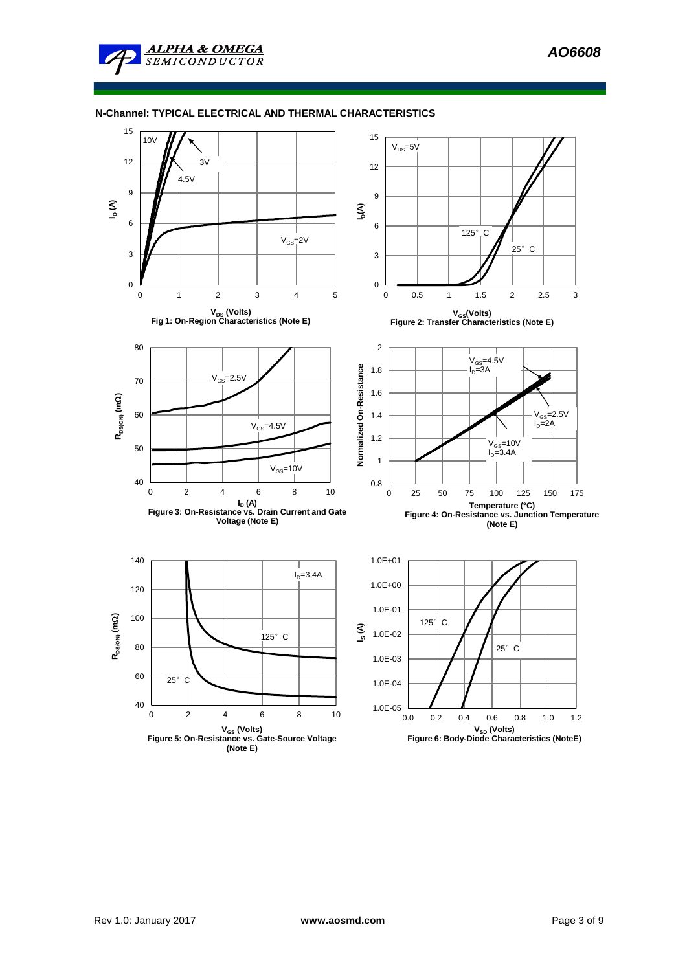### **N-Channel: TYPICAL ELECTRICAL AND THERMAL CHARACTERISTICS**

**ALPHA & OMEGA SEMICONDUCTOR** 

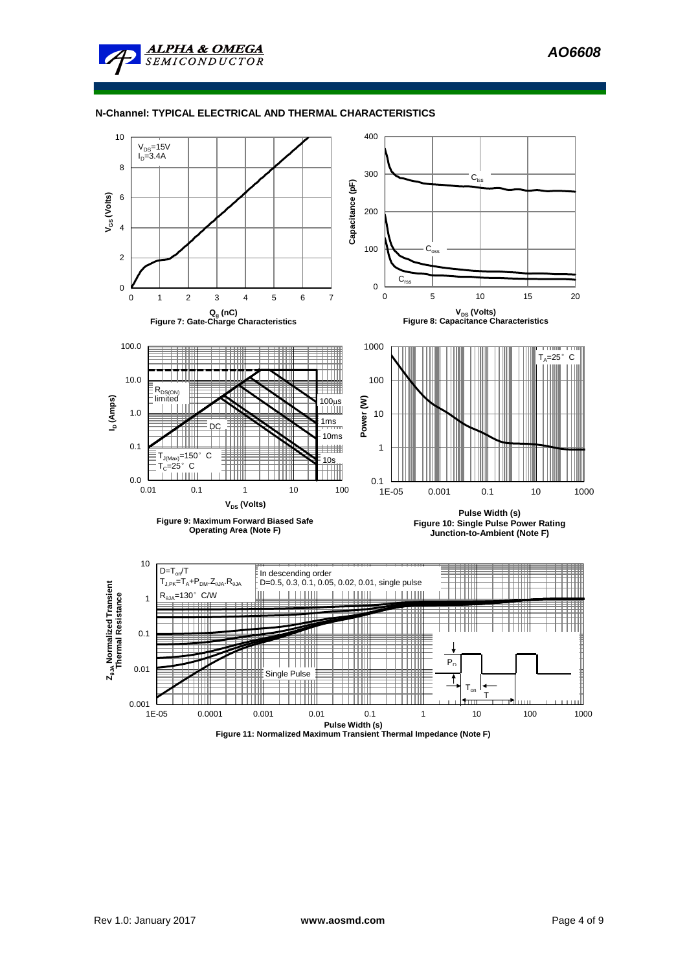

**ALPHA & OMEGA SEMICONDUCTOR** 



**Figure 11: Normalized Maximum Transient Thermal Impedance (Note F)**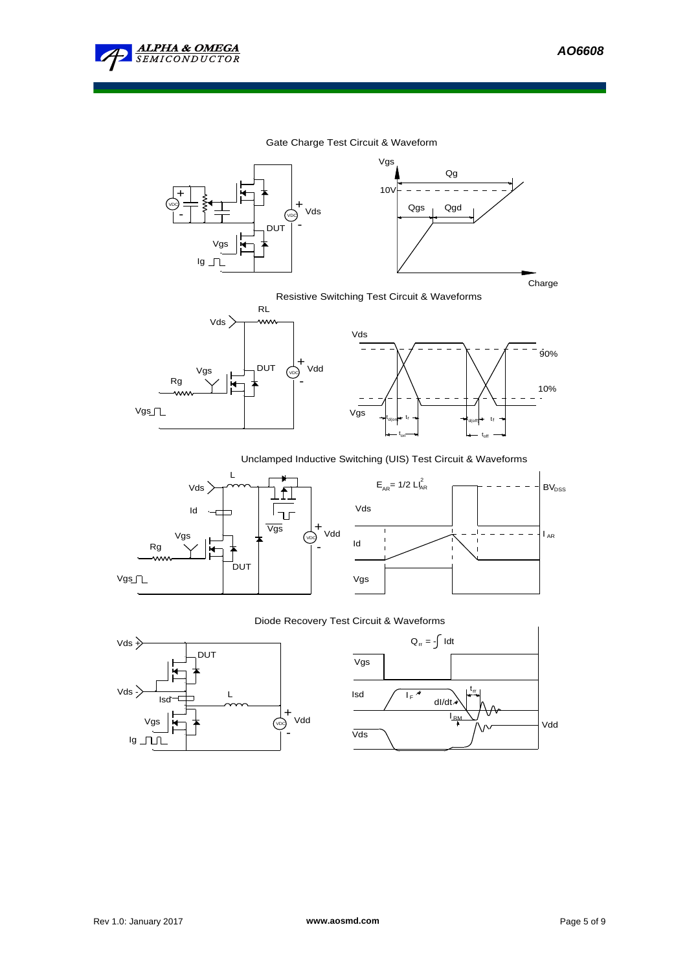

### Gate Charge Test Circuit & Waveform





Resistive Switching Test Circuit & Waveforms





# Unclamped Inductive Switching (UIS) Test Circuit & Waveforms





### Diode Recovery Test Circuit & Waveforms



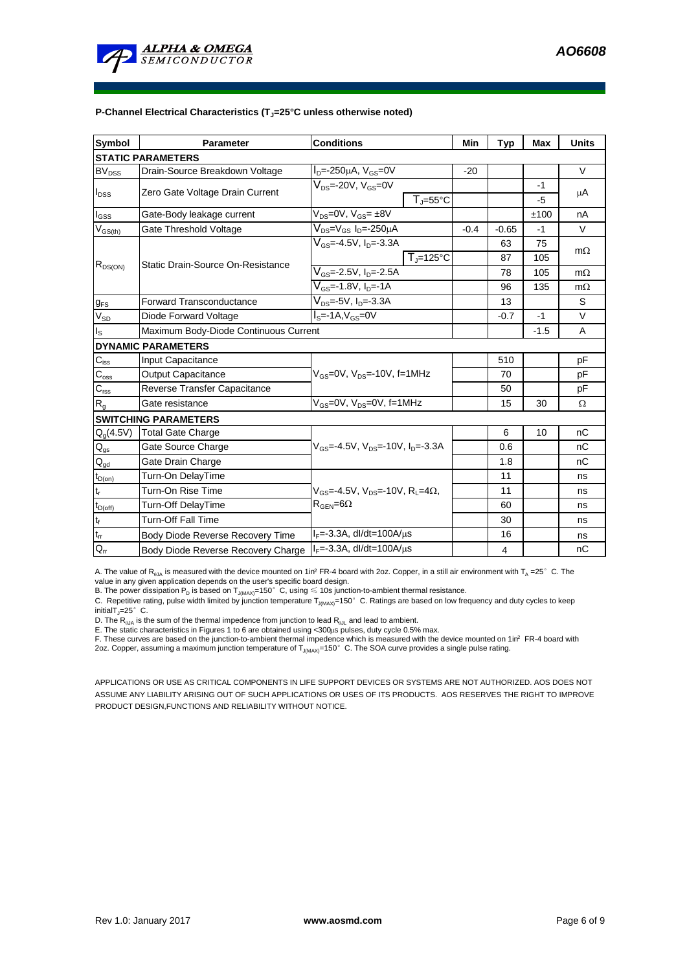

### **P-Channel Electrical Characteristics (TJ=25°C unless otherwise noted)**

| <b>Symbol</b>              | <b>Parameter</b>                      | <b>Conditions</b>                                                                                  |                   | Min    | <b>Typ</b> | <b>Max</b> | <b>Units</b> |  |
|----------------------------|---------------------------------------|----------------------------------------------------------------------------------------------------|-------------------|--------|------------|------------|--------------|--|
| <b>STATIC PARAMETERS</b>   |                                       |                                                                                                    |                   |        |            |            |              |  |
| <b>BV<sub>DSS</sub></b>    | Drain-Source Breakdown Voltage        | $I_{D} = -250 \mu A$ , $V_{GS} = 0V$                                                               |                   | $-20$  |            |            | $\vee$       |  |
| $I_{DSS}$                  | Zero Gate Voltage Drain Current       | $V_{DS}$ =-20V, $V_{GS}$ =0V                                                                       |                   |        |            | $-1$       | μA           |  |
|                            |                                       |                                                                                                    | $T = 55^{\circ}C$ |        |            | -5         |              |  |
| $I_{GSS}$                  | Gate-Body leakage current             | $V_{DS}=0V$ , $V_{GS}=±8V$                                                                         |                   |        |            | ±100       | nA           |  |
| $V_{GS(th)}$               | Gate Threshold Voltage                | $\overline{V_{DS}}$ = $V_{GS}$ I <sub>D</sub> =-250µA                                              |                   | $-0.4$ | $-0.65$    | -1         | $\vee$       |  |
|                            | Static Drain-Source On-Resistance     | $V_{GS}$ =-4.5V, $I_{D}$ =-3.3A                                                                    |                   |        | 63         | 75         | $m\Omega$    |  |
| $R_{DS(ON)}$               |                                       | $T_{\rm J}$ =125°C                                                                                 |                   |        | 87         | 105        |              |  |
|                            |                                       | $V_{GS}$ =-2.5V, I <sub>D</sub> =-2.5A                                                             |                   |        | 78         | 105        | $m\Omega$    |  |
|                            |                                       | $V_{GS}$ =-1.8V, $I_{D}$ =-1A                                                                      |                   |        | 96         | 135        | $m\Omega$    |  |
| $g_{FS}$                   | <b>Forward Transconductance</b>       | $V_{DS} = -5V$ , $I_{D} = -3.3A$                                                                   |                   |        | 13         |            | S            |  |
| $V_{SD}$                   | Diode Forward Voltage                 | $IS=-1A, VGS=0V$                                                                                   |                   |        | $-0.7$     | $-1$       | V            |  |
| $I_{\rm S}$                | Maximum Body-Diode Continuous Current |                                                                                                    |                   |        |            | $-1.5$     | Α            |  |
|                            | <b>DYNAMIC PARAMETERS</b>             |                                                                                                    |                   |        |            |            |              |  |
| $C_{iss}$                  | Input Capacitance                     |                                                                                                    |                   |        | 510        |            | pF           |  |
| $C_{\rm oss}$              | <b>Output Capacitance</b>             | $V_{GS}$ =0V, $V_{DS}$ =-10V, f=1MHz                                                               |                   |        | 70         |            | pF           |  |
| $C_{\rm rss}$              | Reverse Transfer Capacitance          |                                                                                                    |                   |        | 50         |            | рF           |  |
| $R_{q}$                    | Gate resistance                       | $V_{GS}$ =0V, $V_{DS}$ =0V, f=1MHz                                                                 |                   |        | 15         | 30         | Ω            |  |
|                            | <b>SWITCHING PARAMETERS</b>           |                                                                                                    |                   |        |            |            |              |  |
| $Q_q(4.5V)$                | <b>Total Gate Charge</b>              | $V_{\text{GS}} = -4.5V$ , $V_{\text{DS}} = -10V$ , $I_{\text{DS}} = -3.3A$                         |                   |        | 6          | 10         | nC           |  |
| $Q_{qs}$                   | Gate Source Charge                    |                                                                                                    |                   |        | 0.6        |            | nC           |  |
| $\mathsf{Q}_{\mathsf{gd}}$ | Gate Drain Charge                     |                                                                                                    |                   |        | 1.8        |            | nC           |  |
| $t_{D(on)}$                | Turn-On DelayTime                     |                                                                                                    |                   |        | 11         |            | ns           |  |
| t,                         | Turn-On Rise Time                     | $V_{\text{GS}} = -4.5V$ , $V_{\text{DS}} = -10V$ , $R_1 = 4\Omega$ ,<br>$R_{\text{GEN}} = 6\Omega$ |                   |        | 11         |            | ns           |  |
| $t_{D(off)}$               | Turn-Off DelayTime                    |                                                                                                    |                   |        | 60         |            | ns           |  |
| $t_f$                      | <b>Turn-Off Fall Time</b>             |                                                                                                    |                   |        | 30         |            | ns           |  |
| $t_{rr}$                   | Body Diode Reverse Recovery Time      | $I_F = -3.3A$ , dl/dt=100A/ $\mu$ s                                                                |                   |        | 16         |            | ns           |  |
| $Q_{rr}$                   | Body Diode Reverse Recovery Charge    | $I_F = -3.3A$ , dl/dt=100A/ $\mu$ s                                                                |                   |        | 4          |            | nC           |  |

A. The value of R<sub>0JA</sub> is measured with the device mounted on 1in<sup>2</sup> FR-4 board with 2oz. Copper, in a still air environment with T<sub>A</sub> =25° C. The

value in any given application depends on the user's specific board design.<br>B. The power dissipation P<sub>D</sub> is based on T<sub>J(MAX)</sub>=150°C, using ≤ 10s junction-to-ambient thermal resistance.

C. Repetitive rating, pulse width limited by junction temperature  $T_{J(MAX)}=150^\circ$  C. Ratings are based on low frequency and duty cycles to keep  $initialT_J=25^\circ$  C.

D. The  $R_{\theta JA}$  is the sum of the thermal impedence from junction to lead  $R_{\theta JL}$  and lead to ambient.

E. The static characteristics in Figures 1 to 6 are obtained using <300µs pulses, duty cycle 0.5% max.<br>F. These curves are based on the junction-to-ambient thermal impedence which is measured with the device mounted on 1in

2oz. Copper, assuming a maximum junction temperature of  $T_{J(MAX)}$ =150°C. The SOA curve provides a single pulse rating.

APPLICATIONS OR USE AS CRITICAL COMPONENTS IN LIFE SUPPORT DEVICES OR SYSTEMS ARE NOT AUTHORIZED. AOS DOES NOT ASSUME ANY LIABILITY ARISING OUT OF SUCH APPLICATIONS OR USES OF ITS PRODUCTS. AOS RESERVES THE RIGHT TO IMPROVE PRODUCT DESIGN,FUNCTIONS AND RELIABILITY WITHOUT NOTICE.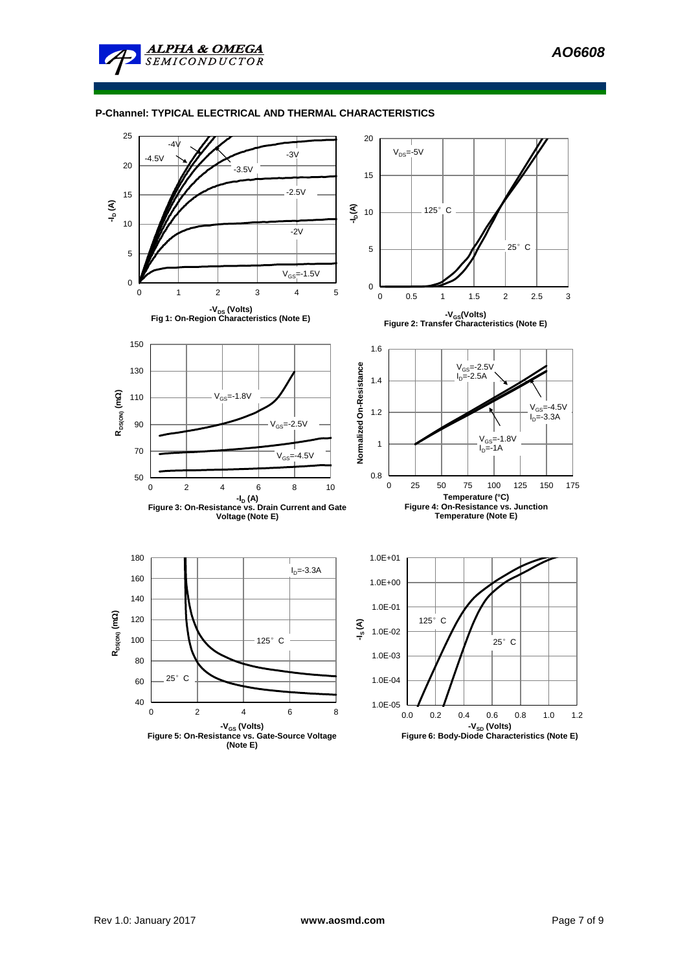# **P-Channel: TYPICAL ELECTRICAL AND THERMAL CHARACTERISTICS**

**ALPHA & OMEGA SEMICONDUCTOR** 

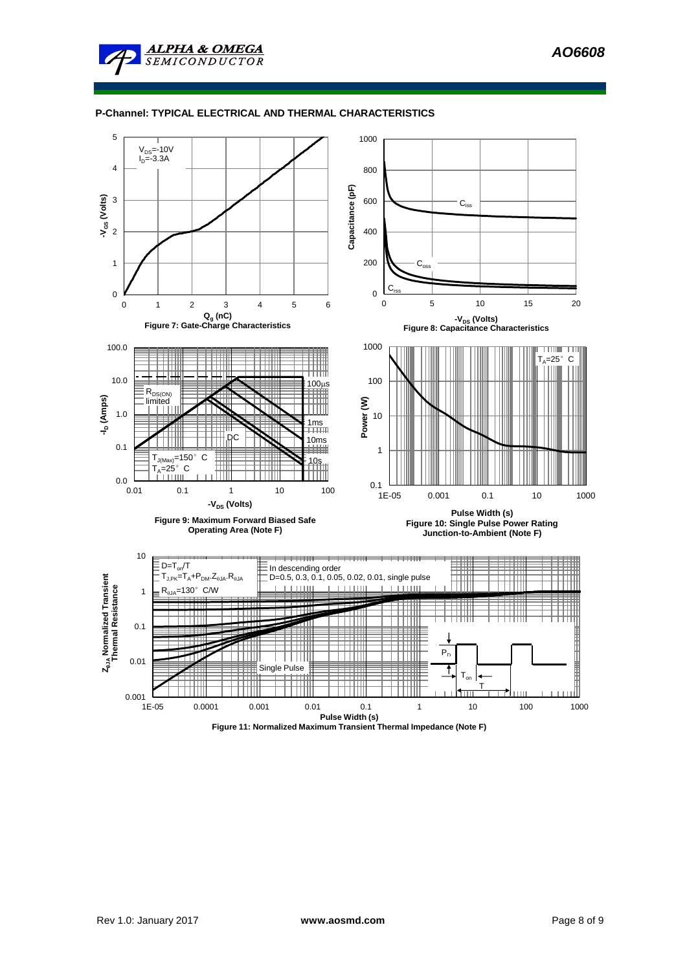

# **P-Channel: TYPICAL ELECTRICAL AND THERMAL CHARACTERISTICS**